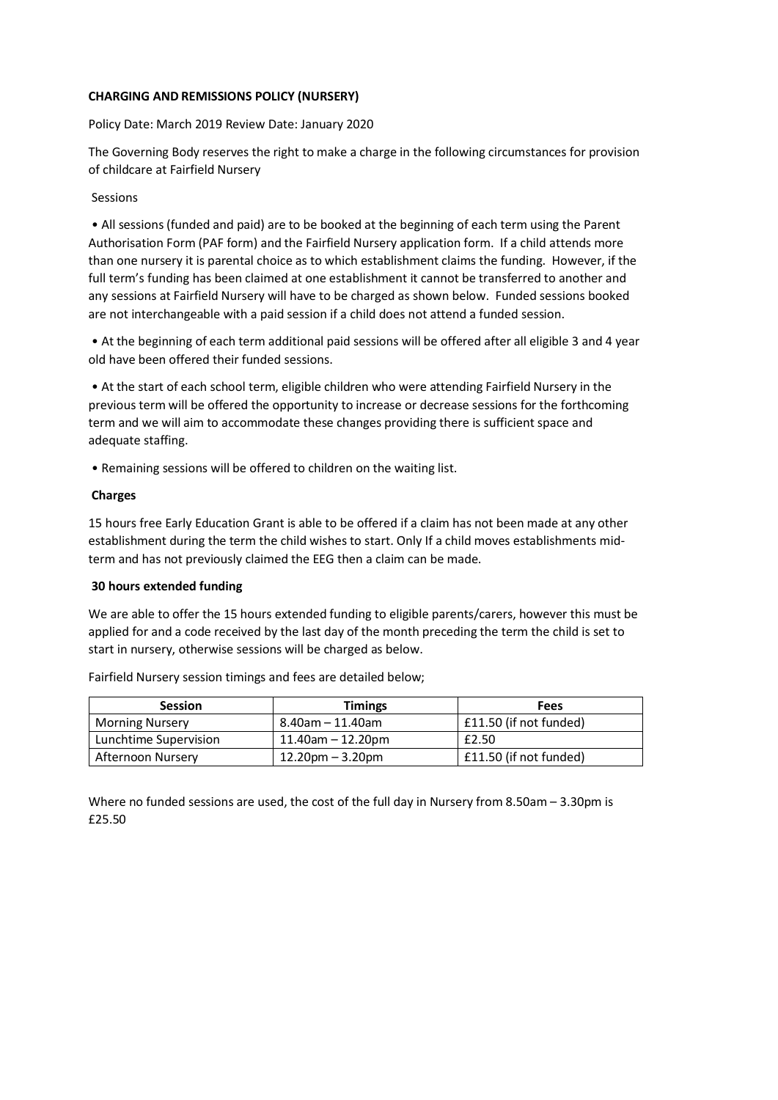# **CHARGING AND REMISSIONS POLICY (NURSERY)**

### Policy Date: March 2019 Review Date: January 2020

The Governing Body reserves the right to make a charge in the following circumstances for provision of childcare at Fairfield Nursery

### Sessions

• All sessions (funded and paid) are to be booked at the beginning of each term using the Parent Authorisation Form (PAF form) and the Fairfield Nursery application form. If a child attends more than one nursery it is parental choice as to which establishment claims the funding. However, if the full term's funding has been claimed at one establishment it cannot be transferred to another and any sessions at Fairfield Nursery will have to be charged as shown below. Funded sessions booked are not interchangeable with a paid session if a child does not attend a funded session.

• At the beginning of each term additional paid sessions will be offered after all eligible 3 and 4 year old have been offered their funded sessions.

• At the start of each school term, eligible children who were attending Fairfield Nursery in the previous term will be offered the opportunity to increase or decrease sessions for the forthcoming term and we will aim to accommodate these changes providing there is sufficient space and adequate staffing.

• Remaining sessions will be offered to children on the waiting list.

### **Charges**

15 hours free Early Education Grant is able to be offered if a claim has not been made at any other establishment during the term the child wishes to start. Only If a child moves establishments midterm and has not previously claimed the EEG then a claim can be made.

### **30 hours extended funding**

We are able to offer the 15 hours extended funding to eligible parents/carers, however this must be applied for and a code received by the last day of the month preceding the term the child is set to start in nursery, otherwise sessions will be charged as below.

| <b>Session</b>         | <b>Timings</b>       | Fees                   |
|------------------------|----------------------|------------------------|
| <b>Morning Nursery</b> | 8.40am – 11.40am     | £11.50 (if not funded) |
| Lunchtime Supervision  | $11.40$ am - 12.20pm | £2.50                  |
| Afternoon Nursery      | $12.20$ pm – 3.20pm  | £11.50 (if not funded) |

Fairfield Nursery session timings and fees are detailed below;

Where no funded sessions are used, the cost of the full day in Nursery from 8.50am – 3.30pm is £25.50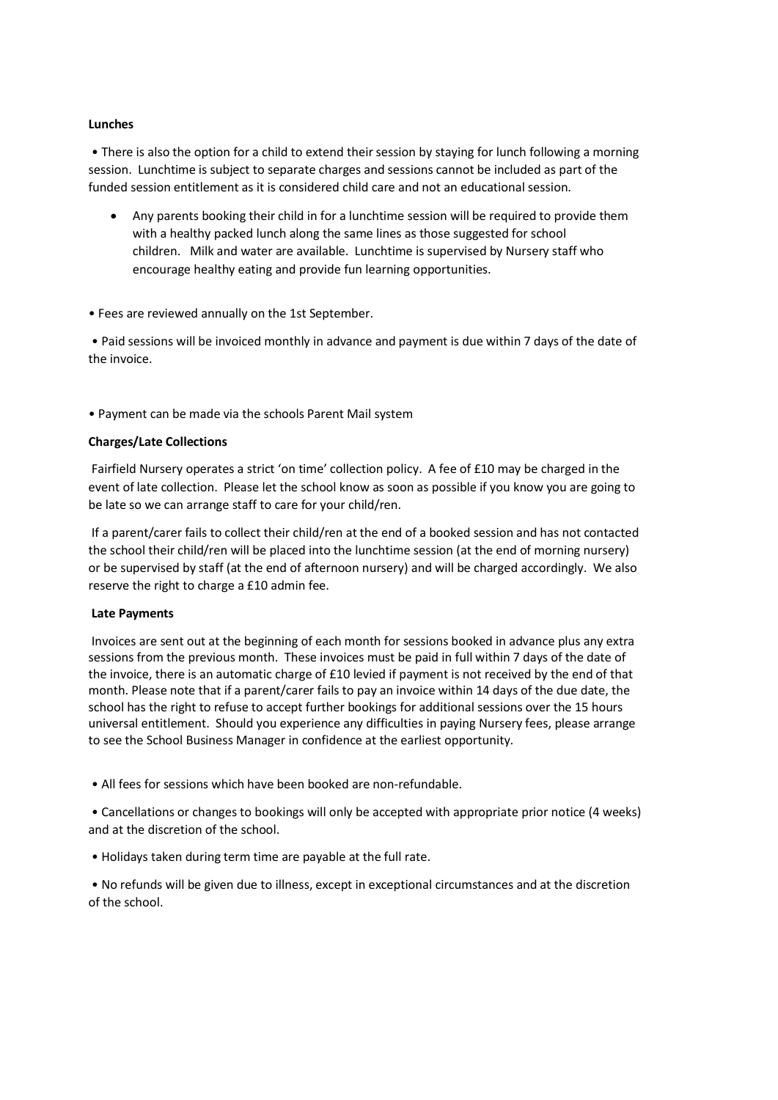## **Lunches**

• There is also the option for a child to extend their session by staying for lunch following a morning session. Lunchtime is subject to separate charges and sessions cannot be included as part of the funded session entitlement as it is considered child care and not an educational session.

■ Any parents booking their child in for a lunchtime session will be required to provide them with a healthy packed lunch along the same lines as those suggested for school children. Milk and water are available. Lunchtime is supervised by Nursery staff who encourage healthy eating and provide fun learning opportunities.

• Fees are reviewed annually on the 1st September.

• Paid sessions will be invoiced monthly in advance and payment is due within 7 days of the date of the invoice.

• Payment can be made via the schools Parent Mail system

### **Charges/Late Collections**

Fairfield Nursery operates a strict 'on time' collection policy. A fee of £10 may be charged in the event of late collection. Please let the school know as soon as possible if you know you are going to be late so we can arrange staff to care for your child/ren.

If a parent/carer fails to collect their child/ren at the end of a booked session and has not contacted the school their child/ren will be placed into the lunchtime session (at the end of morning nursery) or be supervised by staff (at the end of afternoon nursery) and will be charged accordingly. We also reserve the right to charge a £10 admin fee.

### **Late Payments**

Invoices are sent out at the beginning of each month for sessions booked in advance plus any extra sessions from the previous month. These invoices must be paid in full within 7 days of the date of the invoice, there is an automatic charge of £10 levied if payment is not received by the end of that month. Please note that if a parent/carer fails to pay an invoice within 14 days of the due date, the school has the right to refuse to accept further bookings for additional sessions over the 15 hours universal entitlement. Should you experience any difficulties in paying Nursery fees, please arrange to see the School Business Manager in confidence at the earliest opportunity.

• All fees for sessions which have been booked are non-refundable.

• Cancellations or changes to bookings will only be accepted with appropriate prior notice (4 weeks) and at the discretion of the school.

• Holidays taken during term time are payable at the full rate.

• No refunds will be given due to illness, except in exceptional circumstances and at the discretion of the school.